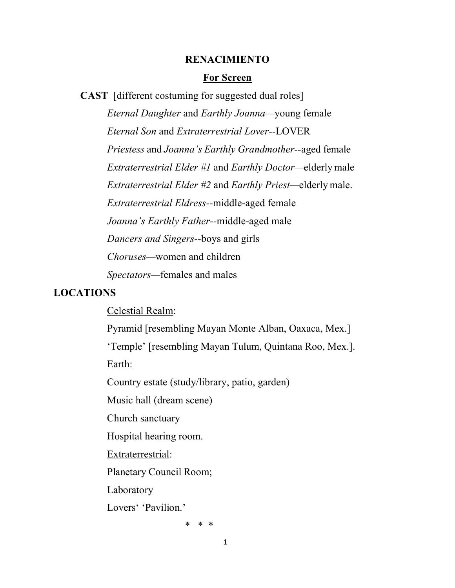#### **RENACIMIENTO**

#### **For Screen**

**CAST** [different costuming for suggested dual roles]

*Eternal Daughter* and *Earthly Joanna—*young female *Eternal Son* and *Extraterrestrial Lover--*LOVER *Priestess* and *Joanna's Earthly Grandmother--*aged female *Extraterrestrial Elder #1* and *Earthly Doctor—*elderlymale *Extraterrestrial Elder #2* and *Earthly Priest—*elderly male. *Extraterrestrial Eldress--*middle-aged female *Joanna's Earthly Father--*middle-aged male *Dancers and Singers--*boys and girls *Choruses—*women and children *Spectators—*females and males

#### **LOCATIONS**

Celestial Realm:

Pyramid [resembling Mayan Monte Alban, Oaxaca, Mex.]

'Temple' [resembling Mayan Tulum, Quintana Roo, Mex.].

Earth:

Country estate (study/library, patio, garden)

Music hall (dream scene)

Church sanctuary

Hospital hearing room.

Extraterrestrial:

Planetary Council Room;

Laboratory

Lovers' 'Pavilion.'

\* \* \*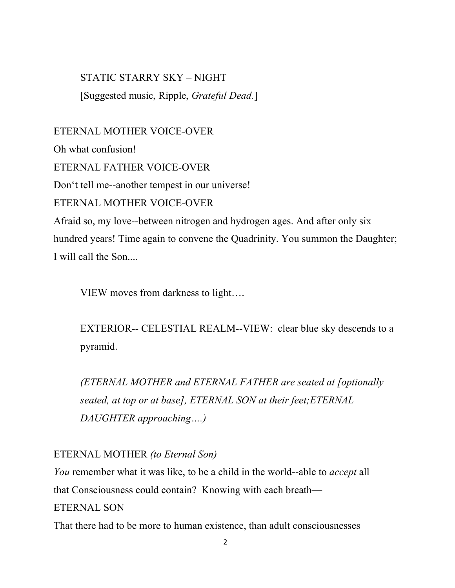STATIC STARRY SKY – NIGHT [Suggested music, Ripple, *Grateful Dead.*]

ETERNAL MOTHER VOICE-OVER Oh what confusion! ETERNAL FATHER VOICE-OVER Don't tell me--another tempest in our universe! ETERNAL MOTHER VOICE-OVER Afraid so, my love--between nitrogen and hydrogen ages. And after only six hundred years! Time again to convene the Quadrinity. You summon the Daughter; I will call the Son....

VIEW moves from darkness to light….

EXTERIOR-- CELESTIAL REALM--VIEW: clear blue sky descends to a pyramid.

*(ETERNAL MOTHER and ETERNAL FATHER are seated at [optionally seated, at top or at base], ETERNAL SON at their feet;ETERNAL DAUGHTER approaching….)*

ETERNAL MOTHER *(to Eternal Son)*

*You* remember what it was like, to be a child in the world--able to *accept* all that Consciousness could contain? Knowing with each breath— ETERNAL SON That there had to be more to human existence, than adult consciousnesses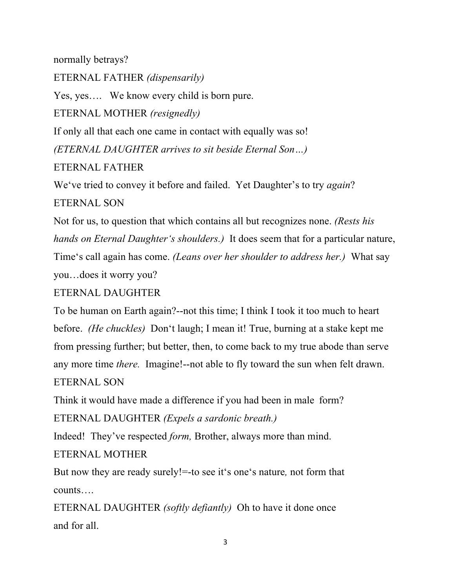normally betrays?

ETERNAL FATHER *(dispensarily)*

Yes, yes…. We know every child is born pure.

ETERNAL MOTHER *(resignedly)*

If only all that each one came in contact with equally was so!

*(ETERNAL DAUGHTER arrives to sit beside Eternal Son…)*

ETERNAL FATHER

We've tried to convey it before and failed. Yet Daughter's to try *again*?

ETERNAL SON

Not for us, to question that which contains all but recognizes none. *(Rests his hands on Eternal Daughter's shoulders.)* It does seem that for a particular nature, Time's call again has come. *(Leans over her shoulder to address her.)* What say you…does it worry you?

# ETERNAL DAUGHTER

To be human on Earth again?--not this time; I think I took it too much to heart before. *(He chuckles)* Don't laugh; I mean it! True, burning at a stake kept me from pressing further; but better, then, to come back to my true abode than serve any more time *there.* Imagine!--not able to fly toward the sun when felt drawn. ETERNAL SON

Think it would have made a difference if you had been in male form?

ETERNAL DAUGHTER *(Expels a sardonic breath.)*

Indeed! They've respected *form,* Brother, always more than mind.

ETERNAL MOTHER

But now they are ready surely!=-to see it's one's nature*,* not form that counts….

ETERNAL DAUGHTER *(softly defiantly)* Oh to have it done once and for all.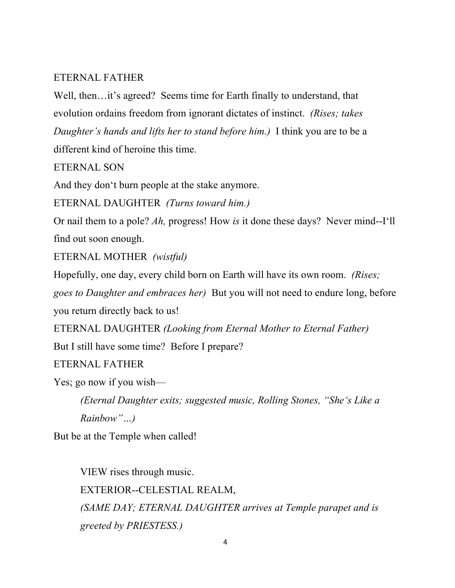# ETERNAL FATHER

Well, then…it's agreed? Seems time for Earth finally to understand, that evolution ordains freedom from ignorant dictates of instinct. *(Rises; takes Daughter's hands and lifts her to stand before him.)* I think you are to be a different kind of heroine this time.

ETERNAL SON

And they don't burn people at the stake anymore.

ETERNAL DAUGHTER *(Turns toward him.)*

Or nail them to a pole? *Ah,* progress! How *is* it done these days? Never mind--I'll find out soon enough.

ETERNAL MOTHER *(wistful)*

Hopefully, one day, every child born on Earth will have its own room. *(Rises;* 

*goes to Daughter and embraces her)* But you will not need to endure long, before you return directly back to us!

ETERNAL DAUGHTER *(Looking from Eternal Mother to Eternal Father)*

But I still have some time? Before I prepare?

ETERNAL FATHER

Yes; go now if you wish—

*(Eternal Daughter exits; suggested music, Rolling Stones, "She's Like a Rainbow"…)*

But be at the Temple when called!

VIEW rises through music. EXTERIOR--CELESTIAL REALM, *(SAME DAY; ETERNAL DAUGHTER arrives at Temple parapet and is greeted by PRIESTESS.)*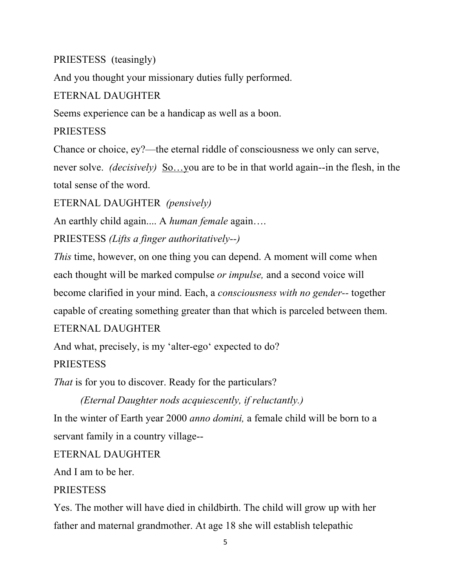# PRIESTESS (teasingly)

And you thought your missionary duties fully performed.

# ETERNAL DAUGHTER

Seems experience can be a handicap as well as a boon.

# PRIESTESS

Chance or choice, ey?—the eternal riddle of consciousness we only can serve, never solve. *(decisively)* So…you are to be in that world again--in the flesh, in the total sense of the word.

ETERNAL DAUGHTER *(pensively)*

An earthly child again.... A *human female* again….

PRIESTESS *(Lifts a finger authoritatively--)*

*This* time, however, on one thing you can depend. A moment will come when each thought will be marked compulse *or impulse,* and a second voice will become clarified in your mind. Each, a *consciousness with no gender--* together capable of creating something greater than that which is parceled between them. ETERNAL DAUGHTER

And what, precisely, is my 'alter-ego' expected to do? **PRIESTESS** 

*That* is for you to discover. Ready for the particulars?

*(Eternal Daughter nods acquiescently, if reluctantly.)*

In the winter of Earth year 2000 *anno domini,* a female child will be born to a servant family in a country village--

# ETERNAL DAUGHTER

And I am to be her.

# **PRIESTESS**

Yes. The mother will have died in childbirth. The child will grow up with her father and maternal grandmother. At age 18 she will establish telepathic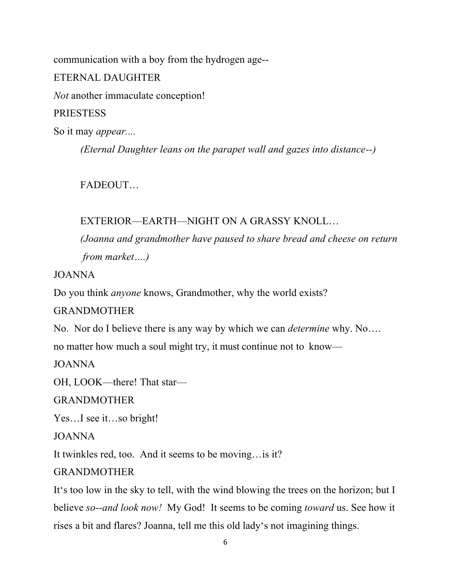communication with a boy from the hydrogen age-- ETERNAL DAUGHTER *Not* another immaculate conception! **PRIESTESS** So it may *appear....*

*(Eternal Daughter leans on the parapet wall and gazes into distance--)*

**FADEOUT** 

# EXTERIOR—EARTH—NIGHT ON A GRASSY KNOLL…

*(Joanna and grandmother have paused to share bread and cheese on return from market….)*

JOANNA

Do you think *anyone* knows, Grandmother, why the world exists?

GRANDMOTHER

No. Nor do I believe there is any way by which we can *determine* why. No….

no matter how much a soul might try, it must continue not to know—

JOANNA

OH, LOOK—there! That star—

GRANDMOTHER

Yes…I see it…so bright!

JOANNA

It twinkles red, too. And it seems to be moving…is it?

GRANDMOTHER

It's too low in the sky to tell, with the wind blowing the trees on the horizon; but I believe *so--and look now!* My God! It seems to be coming *toward* us. See how it rises a bit and flares? Joanna, tell me this old lady's not imagining things.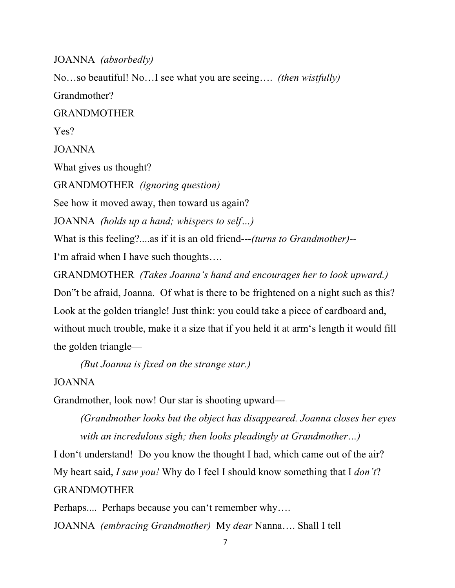JOANNA *(absorbedly)*

No…so beautiful! No…I see what you are seeing…. *(then wistfully)* Grandmother? GRANDMOTHER Yes? JOANNA What gives us thought? GRANDMOTHER *(ignoring question)* See how it moved away, then toward us again? JOANNA *(holds up a hand; whispers to self…)* What is this feeling?....as if it is an old friend---*(turns to Grandmother)--* I'm afraid when I have such thoughts….

GRANDMOTHER *(Takes Joanna's hand and encourages her to look upward.)*  Don"t be afraid, Joanna. Of what is there to be frightened on a night such as this? Look at the golden triangle! Just think: you could take a piece of cardboard and, without much trouble, make it a size that if you held it at arm's length it would fill the golden triangle—

*(But Joanna is fixed on the strange star.)*

JOANNA

Grandmother, look now! Our star is shooting upward—

*(Grandmother looks but the object has disappeared. Joanna closes her eyes with an incredulous sigh; then looks pleadingly at Grandmother…)*

I don't understand! Do you know the thought I had, which came out of the air? My heart said, *I saw you!* Why do I feel I should know something that I *don't*? GRANDMOTHER

Perhaps.... Perhaps because you can't remember why….

JOANNA *(embracing Grandmother)* My *dear* Nanna…. Shall I tell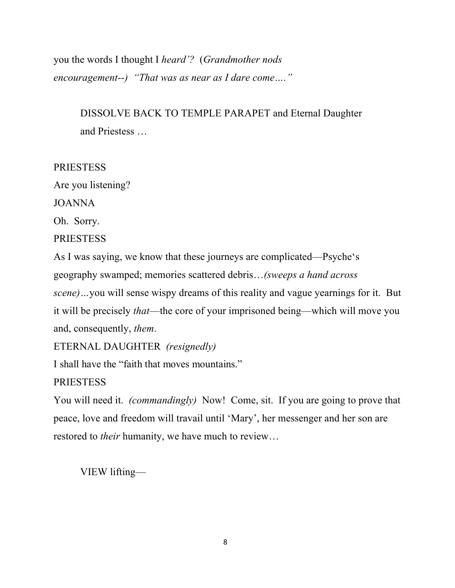you the words I thought I *heard'?* (*Grandmother nods encouragement--) "That was as near as I dare come…."*

> DISSOLVE BACK TO TEMPLE PARAPET and Eternal Daughter and Priestess …

# **PRIESTESS**

Are you listening?

JOANNA

Oh. Sorry.

# **PRIESTESS**

As I was saying, we know that these journeys are complicated—Psyche's geography swamped; memories scattered debris…*(sweeps a hand across* 

*scene)…*you will sense wispy dreams of this reality and vague yearnings for it. But it will be precisely *that*—the core of your imprisoned being—which will move you and, consequently, *them*.

ETERNAL DAUGHTER *(resignedly)*

I shall have the "faith that moves mountains."

**PRIESTESS** 

You will need it. *(commandingly)* Now! Come, sit. If you are going to prove that peace, love and freedom will travail until 'Mary', her messenger and her son are restored to *their* humanity, we have much to review…

VIEW lifting—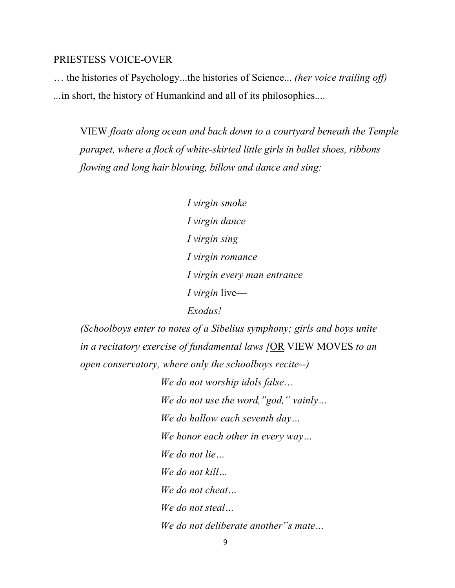#### PRIESTESS VOICE-OVER

… the histories of Psychology...the histories of Science... *(her voice trailing off) ...*in short, the history of Humankind and all of its philosophies....

VIEW *floats along ocean and back down to a courtyard beneath the Temple parapet, where a flock of white-skirted little girls in ballet shoes, ribbons flowing and long hair blowing, billow and dance and sing:*

> *I virgin smoke I virgin dance I virgin sing I virgin romance I virgin every man entrance I virgin* live— *Exodus!*

*(Schoolboys enter to notes of a Sibelius symphony; girls and boys unite in a recitatory exercise of fundamental laws [*OR VIEW MOVES *to an open conservatory, where only the schoolboys recite--)*

> *We do not worship idols false… We do not use the word,"god," vainly… We do hallow each seventh day… We honor each other in every way… We do not lie… We do not kill… We do not cheat… We do not steal… We do not deliberate another"s mate…*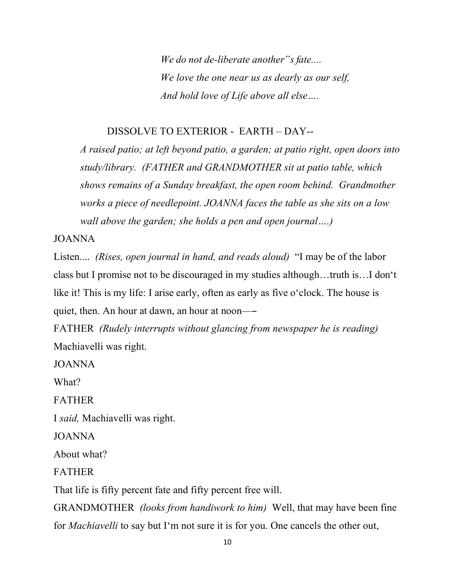*We do not de-liberate another"s fate.... We love the one near us as dearly as our self, And hold love of Life above all else….*

#### DISSOLVE TO EXTERIOR - EARTH – DAY--

*A raised patio; at left beyond patio, a garden; at patio right, open doors into study/library. (FATHER and GRANDMOTHER sit at patio table, which shows remains of a Sunday breakfast, the open room behind. Grandmother works a piece of needlepoint. JOANNA faces the table as she sits on a low wall above the garden; she holds a pen and open journal….)*

JOANNA

Listen.... *(Rises, open journal in hand, and reads aloud)* "I may be of the labor class but I promise not to be discouraged in my studies although…truth is…I don't like it! This is my life: I arise early, often as early as five o'clock. The house is quiet, then. An hour at dawn, an hour at noon—―

FATHER *(Rudely interrupts without glancing from newspaper he is reading)* Machiavelli was right.

JOANNA

What?

FATHER

I *said,* Machiavelli was right.

JOANNA

About what?

FATHER

That life is fifty percent fate and fifty percent free will.

GRANDMOTHER *(looks from handiwork to him)* Well, that may have been fine for *Machiavelli* to say but I'm not sure it is for you. One cancels the other out,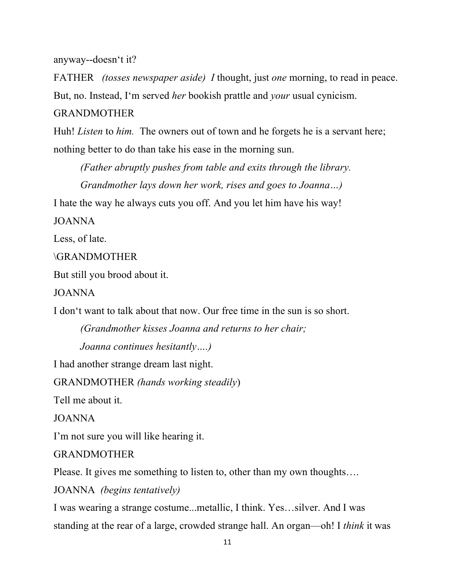anyway--doesn't it?

FATHER *(tosses newspaper aside) I* thought, just *one* morning, to read in peace. But, no. Instead, I'm served *her* bookish prattle and *your* usual cynicism.

# GRANDMOTHER

Huh! *Listen* to *him*. The owners out of town and he forgets he is a servant here; nothing better to do than take his ease in the morning sun.

*(Father abruptly pushes from table and exits through the library. Grandmother lays down her work, rises and goes to Joanna…)*

I hate the way he always cuts you off. And you let him have his way!

JOANNA

Less, of late.

\GRANDMOTHER

But still you brood about it.

JOANNA

I don't want to talk about that now. Our free time in the sun is so short.

*(Grandmother kisses Joanna and returns to her chair; Joanna continues hesitantly….)*

I had another strange dream last night.

GRANDMOTHER *(hands working steadily*)

Tell me about it.

JOANNA

I'm not sure you will like hearing it.

GRANDMOTHER

Please. It gives me something to listen to, other than my own thoughts….

JOANNA *(begins tentatively)*

I was wearing a strange costume...metallic, I think. Yes…silver. And I was standing at the rear of a large, crowded strange hall. An organ—oh! I *think* it was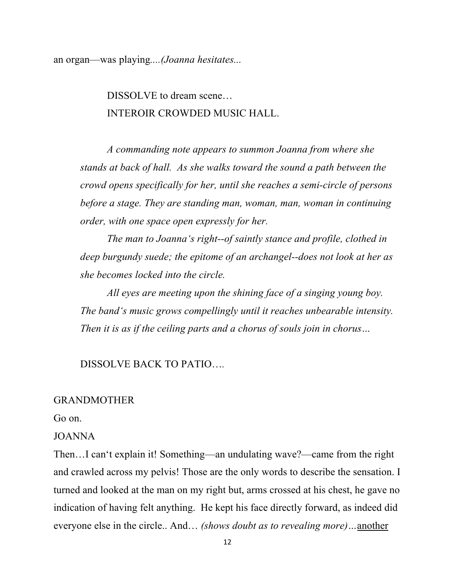an organ—was playing*....(Joanna hesitates...*

DISSOLVE to dream scene... INTEROIR CROWDED MUSIC HALL.

*A commanding note appears to summon Joanna from where she stands at back of hall. As she walks toward the sound a path between the crowd opens specifically for her, until she reaches a semi-circle of persons before a stage. They are standing man, woman, man, woman in continuing order, with one space open expressly for her.*

*The man to Joanna's right--of saintly stance and profile, clothed in deep burgundy suede; the epitome of an archangel--does not look at her as she becomes locked into the circle.*

*All eyes are meeting upon the shining face of a singing young boy. The band's music grows compellingly until it reaches unbearable intensity. Then it is as if the ceiling parts and a chorus of souls join in chorus…*

### DISSOLVE BACK TO PATIO…*.*

#### GRANDMOTHER

Go on.

#### JOANNA

Then…I can't explain it! Something—an undulating wave?—came from the right and crawled across my pelvis! Those are the only words to describe the sensation. I turned and looked at the man on my right but, arms crossed at his chest, he gave no indication of having felt anything. He kept his face directly forward, as indeed did everyone else in the circle.. And… *(shows doubt as to revealing more)…*another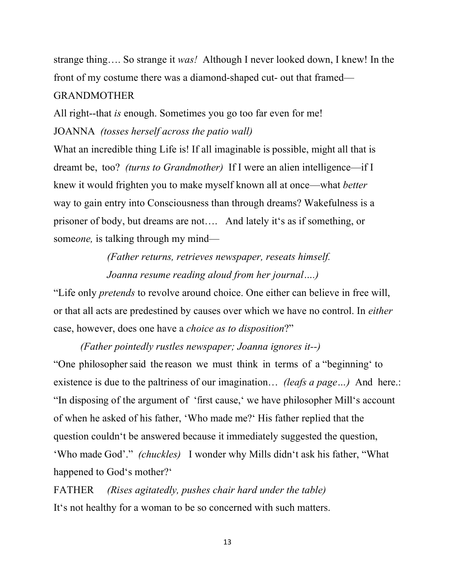strange thing…. So strange it *was!* Although I never looked down, I knew! In the front of my costume there was a diamond-shaped cut- out that framed— GRANDMOTHER

All right--that *is* enough. Sometimes you go too far even for me! JOANNA *(tosses herself across the patio wall)*

What an incredible thing Life is! If all imaginable is possible, might all that is dreamt be, too? *(turns to Grandmother)* If I were an alien intelligence—if I knew it would frighten you to make myself known all at once—what *better*  way to gain entry into Consciousness than through dreams? Wakefulness is a prisoner of body, but dreams are not…. And lately it's as if something, or some*one*, is talking through my mind—

> *(Father returns, retrieves newspaper, reseats himself. Joanna resume reading aloud from her journal….)*

"Life only *pretends* to revolve around choice. One either can believe in free will, or that all acts are predestined by causes over which we have no control. In *either*  case, however, does one have a *choice as to disposition*?"

*(Father pointedly rustles newspaper; Joanna ignores it--)* "One philosopher said the reason we must think in terms of a "beginning" to existence is due to the paltriness of our imagination… *(leafs a page…)* And here.: "In disposing of the argument of 'first cause,' we have philosopher Mill's account of when he asked of his father, 'Who made me?' His father replied that the question couldn't be answered because it immediately suggested the question, 'Who made God'." *(chuckles)* I wonder why Mills didn't ask his father, "What happened to God's mother?'

FATHER *(Rises agitatedly, pushes chair hard under the table)* It's not healthy for a woman to be so concerned with such matters.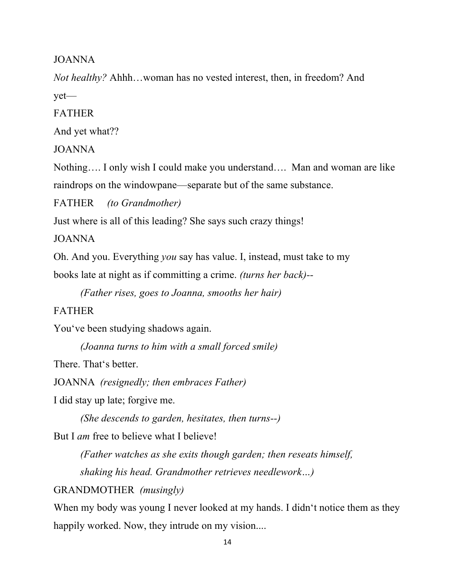JOANNA

*Not healthy?* Ahhh…woman has no vested interest, then, in freedom? And yet—

FATHER

And yet what??

JOANNA

Nothing…. I only wish I could make you understand…. Man and woman are like raindrops on the windowpane—separate but of the same substance.

FATHER *(to Grandmother)*

Just where is all of this leading? She says such crazy things!

JOANNA

Oh. And you. Everything *you* say has value. I, instead, must take to my

books late at night as if committing a crime. *(turns her back)--*

*(Father rises, goes to Joanna, smooths her hair)*

# FATHER

You've been studying shadows again.

*(Joanna turns to him with a small forced smile)*

There. That's better.

JOANNA *(resignedly; then embraces Father)*

I did stay up late; forgive me.

*(She descends to garden, hesitates, then turns--)*

But I *am* free to believe what I believe!

*(Father watches as she exits though garden; then reseats himself, shaking his head. Grandmother retrieves needlework…)*

GRANDMOTHER *(musingly)*

When my body was young I never looked at my hands. I didn't notice them as they happily worked. Now, they intrude on my vision....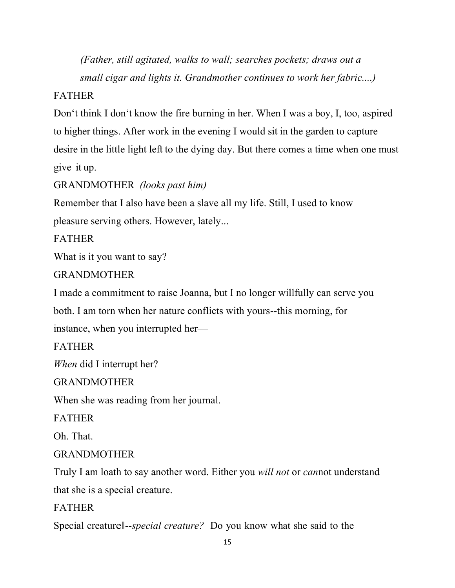*(Father, still agitated, walks to wall; searches pockets; draws out a small cigar and lights it. Grandmother continues to work her fabric....)*

# FATHER

Don't think I don't know the fire burning in her. When I was a boy, I, too, aspired to higher things. After work in the evening I would sit in the garden to capture desire in the little light left to the dying day. But there comes a time when one must give it up.

# GRANDMOTHER *(looks past him)*

Remember that I also have been a slave all my life. Still, I used to know pleasure serving others. However, lately...

FATHER

What is it you want to say?

# GRANDMOTHER

I made a commitment to raise Joanna, but I no longer willfully can serve you both. I am torn when her nature conflicts with yours--this morning, for instance, when you interrupted her—

FATHER

*When* did I interrupt her?

GRANDMOTHER

When she was reading from her journal.

FATHER

Oh. That.

# GRANDMOTHER

Truly I am loath to say another word. Either you *will not* or *can*not understand that she is a special creature.

FATHER

Special creatureǁ--*special creature?* Do you know what she said to the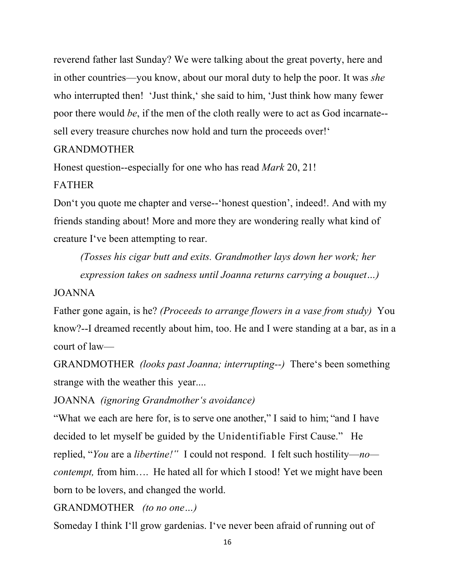reverend father last Sunday? We were talking about the great poverty, here and in other countries—you know, about our moral duty to help the poor. It was *she*  who interrupted then! 'Just think,' she said to him, 'Just think how many fewer poor there would *be*, if the men of the cloth really were to act as God incarnate- sell every treasure churches now hold and turn the proceeds over!'

#### GRANDMOTHER

Honest question--especially for one who has read *Mark* 20, 21!

#### FATHER

Don't you quote me chapter and verse--'honest question', indeed!. And with my friends standing about! More and more they are wondering really what kind of creature I've been attempting to rear.

*(Tosses his cigar butt and exits. Grandmother lays down her work; her expression takes on sadness until Joanna returns carrying a bouquet…)*

#### JOANNA

Father gone again, is he? *(Proceeds to arrange flowers in a vase from study)* You know?--I dreamed recently about him, too. He and I were standing at a bar, as in a court of law—

GRANDMOTHER *(looks past Joanna; interrupting--)* There's been something strange with the weather this year....

JOANNA *(ignoring Grandmother's avoidance)*

"What we each are here for, is to serve one another," I said to him; "and I have decided to let myself be guided by the Unidentifiable First Cause." He replied, "*You* are a *libertine!"* I could not respond. I felt such hostility—*no contempt,* from him.... He hated all for which I stood! Yet we might have been born to be lovers, and changed the world.

GRANDMOTHER *(to no one…)*

Someday I think I'll grow gardenias. I've never been afraid of running out of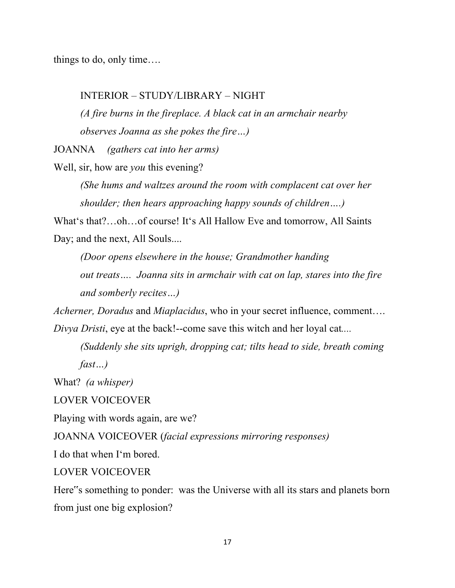things to do, only time….

#### INTERIOR – STUDY/LIBRARY – NIGHT

*(A fire burns in the fireplace. A black cat in an armchair nearby observes Joanna as she pokes the fire…)*

JOANNA *(gathers cat into her arms)*

Well, sir, how are *you* this evening?

*(She hums and waltzes around the room with complacent cat over her shoulder; then hears approaching happy sounds of children….)*

What's that?…oh…of course! It's All Hallow Eve and tomorrow, All Saints Day; and the next, All Souls....

*(Door opens elsewhere in the house; Grandmother handing out treats…. Joanna sits in armchair with cat on lap, stares into the fire and somberly recites…)*

*Acherner, Doradus* and *Miaplacidus*, who in your secret influence, comment…. *Divya Dristi*, eye at the back!--come save this witch and her loyal cat*....*

*(Suddenly she sits uprigh, dropping cat; tilts head to side, breath coming fast…)*

What? *(a whisper)*

LOVER VOICEOVER

Playing with words again, are we?

JOANNA VOICEOVER (*facial expressions mirroring responses)*

I do that when I'm bored.

LOVER VOICEOVER

Here"s something to ponder: was the Universe with all its stars and planets born from just one big explosion?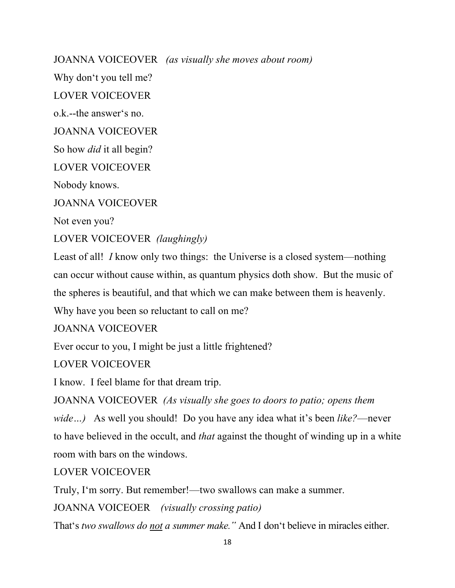JOANNA VOICEOVER *(as visually she moves about room)*

Why don't you tell me?

LOVER VOICEOVER

o.k.--the answer's no.

JOANNA VOICEOVER

So how *did* it all begin?

LOVER VOICEOVER

Nobody knows.

JOANNA VOICEOVER

Not even you?

LOVER VOICEOVER *(laughingly)*

Least of all! *I* know only two things: the Universe is a closed system—nothing can occur without cause within, as quantum physics doth show. But the music of the spheres is beautiful, and that which we can make between them is heavenly. Why have you been so reluctant to call on me?

JOANNA VOICEOVER

Ever occur to you, I might be just a little frightened?

LOVER VOICEOVER

I know. I feel blame for that dream trip.

JOANNA VOICEOVER *(As visually she goes to doors to patio; opens them wide…)* As well you should! Do you have any idea what it's been *like?*—never to have believed in the occult, and *that* against the thought of winding up in a white room with bars on the windows.

LOVER VOICEOVER

Truly, I'm sorry. But remember!—two swallows can make a summer.

JOANNA VOICEOER *(visually crossing patio)*

That's *two swallows do not a summer make."* And I don't believe in miracles either.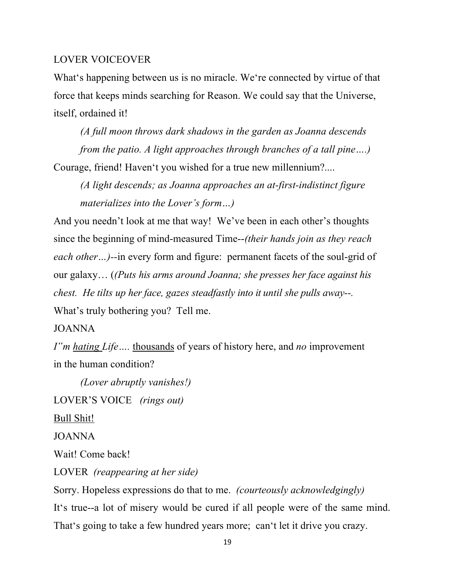#### LOVER VOICEOVER

What's happening between us is no miracle. We're connected by virtue of that force that keeps minds searching for Reason. We could say that the Universe, itself, ordained it!

*(A full moon throws dark shadows in the garden as Joanna descends from the patio. A light approaches through branches of a tall pine….)* Courage, friend! Haven't you wished for a true new millennium?....

*(A light descends; as Joanna approaches an at-first-indistinct figure materializes into the Lover's form…)*

And you needn't look at me that way! We've been in each other's thoughts since the beginning of mind-measured Time--*(their hands join as they reach each other…)--*in every form and figure: permanent facets of the soul-grid of our galaxy… (*(Puts his arms around Joanna; she presses her face against his chest. He tilts up her face, gazes steadfastly into it until she pulls away--.* What's truly bothering you? Tell me.

#### JOANNA

*I"m hating Life….* thousands of years of history here, and *no* improvement in the human condition?

*(Lover abruptly vanishes!)* LOVER'S VOICE *(rings out)*  Bull Shit! JOANNA

Wait! Come back!

LOVER *(reappearing at her side)*

Sorry. Hopeless expressions do that to me. *(courteously acknowledgingly)* It's true--a lot of misery would be cured if all people were of the same mind. That's going to take a few hundred years more; can't let it drive you crazy.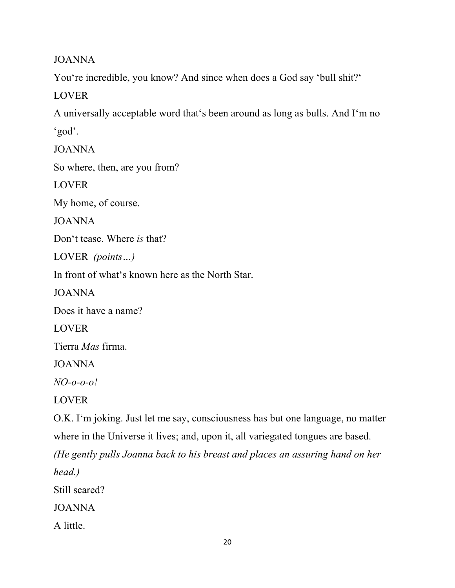JOANNA

You're incredible, you know? And since when does a God say 'bull shit?'

LOVER

A universally acceptable word that's been around as long as bulls. And I'm no 'god'.

JOANNA

So where, then, are you from?

LOVER

My home, of course.

JOANNA

Don't tease. Where *is* that?

LOVER *(points…)*

In front of what's known here as the North Star.

JOANNA

Does it have a name?

LOVER

Tierra *Mas* firma.

JOANNA

*NO-o-o-o!*

LOVER

O.K. I'm joking. Just let me say, consciousness has but one language, no matter where in the Universe it lives; and, upon it, all variegated tongues are based.

*(He gently pulls Joanna back to his breast and places an assuring hand on her head.)*

Still scared?

JOANNA

A little.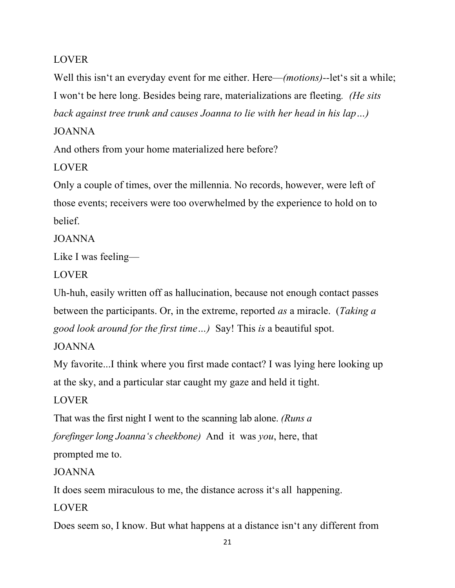# LOVER

Well this isn't an everyday event for me either. Here—*(motions)--*let's sit a while; I won't be here long. Besides being rare, materializations are fleeting*. (He sits back against tree trunk and causes Joanna to lie with her head in his lap…)*

# JOANNA

And others from your home materialized here before?

LOVER

Only a couple of times, over the millennia. No records, however, were left of those events; receivers were too overwhelmed by the experience to hold on to belief.

JOANNA

Like I was feeling—

LOVER

Uh-huh, easily written off as hallucination, because not enough contact passes between the participants. Or, in the extreme, reported *as* a miracle. (*Taking a good look around for the first time…)* Say! This *is* a beautiful spot.

# JOANNA

My favorite...I think where you first made contact? I was lying here looking up at the sky, and a particular star caught my gaze and held it tight.

# LOVER

That was the first night I went to the scanning lab alone. *(Runs a forefinger long Joanna's cheekbone)* And it was *you*, here, that

prompted me to.

# JOANNA

It does seem miraculous to me, the distance across it's all happening.

LOVER

Does seem so, I know. But what happens at a distance isn't any different from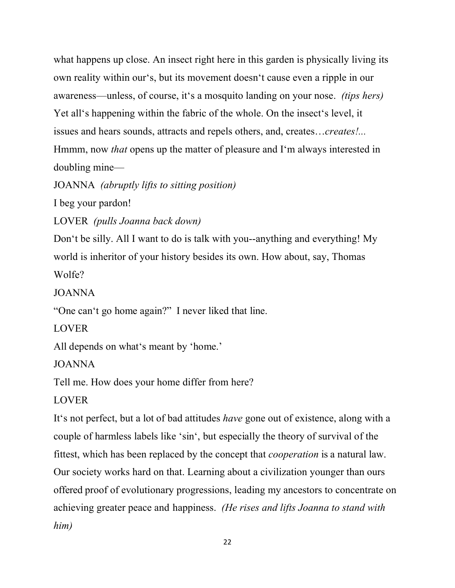what happens up close. An insect right here in this garden is physically living its own reality within our's, but its movement doesn't cause even a ripple in our awareness—unless, of course, it's a mosquito landing on your nose. *(tips hers)* Yet all's happening within the fabric of the whole. On the insect's level, it issues and hears sounds, attracts and repels others, and, creates…*creates!...*  Hmmm, now *that* opens up the matter of pleasure and I'm always interested in doubling mine—

JOANNA *(abruptly lifts to sitting position)*

I beg your pardon!

LOVER *(pulls Joanna back down)*

Don't be silly. All I want to do is talk with you--anything and everything! My world is inheritor of your history besides its own. How about, say, Thomas Wolfe?

JOANNA

"One can't go home again?" I never liked that line.

LOVER

All depends on what's meant by 'home.'

JOANNA

Tell me. How does your home differ from here?

LOVER

It's not perfect, but a lot of bad attitudes *have* gone out of existence, along with a couple of harmless labels like 'sin', but especially the theory of survival of the fittest, which has been replaced by the concept that *cooperation* is a natural law. Our society works hard on that. Learning about a civilization younger than ours offered proof of evolutionary progressions, leading my ancestors to concentrate on achieving greater peace and happiness. *(He rises and lifts Joanna to stand with him)*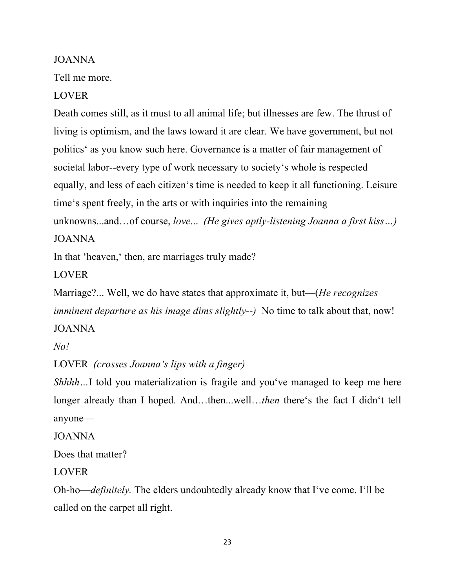### JOANNA

Tell me more.

LOVER

Death comes still, as it must to all animal life; but illnesses are few. The thrust of living is optimism, and the laws toward it are clear. We have government, but not politics' as you know such here. Governance is a matter of fair management of societal labor--every type of work necessary to society's whole is respected equally, and less of each citizen's time is needed to keep it all functioning. Leisure time's spent freely, in the arts or with inquiries into the remaining unknowns...and…of course, *love*... *(He gives aptly-listening Joanna a first kiss…)*

JOANNA

In that 'heaven,' then, are marriages truly made?

LOVER

Marriage?... Well, we do have states that approximate it, but—(*He recognizes imminent departure as his image dims slightly--*) No time to talk about that, now! JOANNA

*No!*

LOVER *(crosses Joanna's lips with a finger)*

*Shhhh*...I told you materialization is fragile and you've managed to keep me here longer already than I hoped. And…then...well…*then* there's the fact I didn't tell anyone—

JOANNA

Does that matter?

LOVER

Oh-ho—*definitely.* The elders undoubtedly already know that I've come. I'll be called on the carpet all right.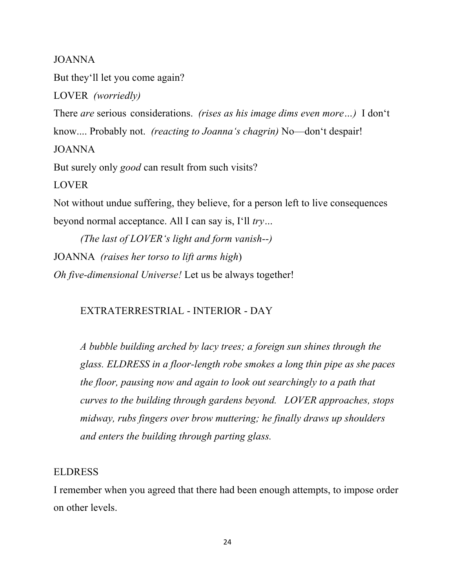JOANNA

But they'll let you come again?

LOVER *(worriedly)*

There *are* serious considerations. *(rises as his image dims even more…)* I don't know.... Probably not. *(reacting to Joanna's chagrin)* No—don't despair! JOANNA But surely only *good* can result from such visits? LOVER

Not without undue suffering, they believe, for a person left to live consequences beyond normal acceptance. All I can say is, I'll *try…*

*(The last of LOVER's light and form vanish--)* JOANNA *(raises her torso to lift arms high*) *Oh five-dimensional Universe!* Let us be always together!

### EXTRATERRESTRIAL - INTERIOR - DAY

*A bubble building arched by lacy trees; a foreign sun shines through the glass. ELDRESS in a floor-length robe smokes a long thin pipe as she paces the floor, pausing now and again to look out searchingly to a path that curves to the building through gardens beyond. LOVER approaches, stops midway, rubs fingers over brow muttering; he finally draws up shoulders and enters the building through parting glass.*

#### ELDRESS

I remember when you agreed that there had been enough attempts, to impose order on other levels.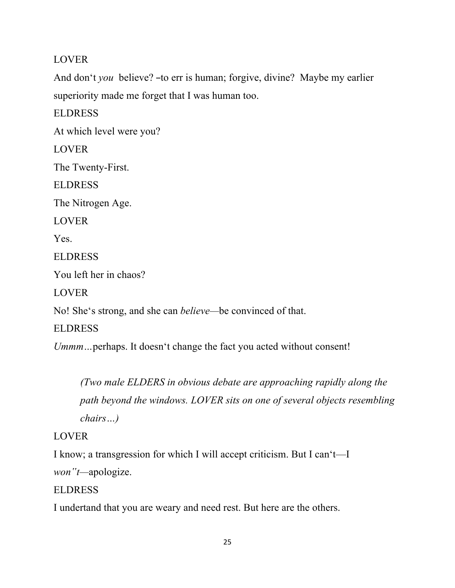# LOVER

And don't *you* believe? –to err is human; forgive, divine? Maybe my earlier superiority made me forget that I was human too.

ELDRESS At which level were you? **LOVER** The Twenty-First. ELDRESS The Nitrogen Age. LOVER Yes. ELDRESS You left her in chaos? LOVER No! She's strong, and she can *believe—*be convinced of that. ELDRESS

*Ummm…*perhaps. It doesn't change the fact you acted without consent!

*(Two male ELDERS in obvious debate are approaching rapidly along the path beyond the windows. LOVER sits on one of several objects resembling chairs…)*

# LOVER

I know; a transgression for which I will accept criticism. But I can't—I

```
won"t—apologize.
```
# ELDRESS

I undertand that you are weary and need rest. But here are the others.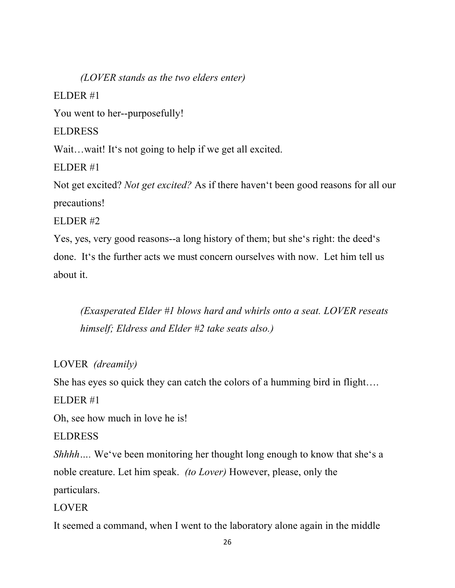*(LOVER stands as the two elders enter)* ELDER #1 You went to her--purposefully! **ELDRESS** Wait...wait! It's not going to help if we get all excited. ELDER #1 Not get excited? *Not get excited?* As if there haven't been good reasons for all our precautions! ELDER #2 Yes, yes, very good reasons--a long history of them; but she's right: the deed's

done. It's the further acts we must concern ourselves with now. Let him tell us about it.

*(Exasperated Elder #1 blows hard and whirls onto a seat. LOVER reseats himself; Eldress and Elder #2 take seats also.)*

LOVER *(dreamily)*

She has eyes so quick they can catch the colors of a humming bird in flight….

ELDER #1

Oh, see how much in love he is!

ELDRESS

*Shhhh* .... We've been monitoring her thought long enough to know that she's a noble creature. Let him speak. *(to Lover)* However, please, only the

particulars.

LOVER

It seemed a command, when I went to the laboratory alone again in the middle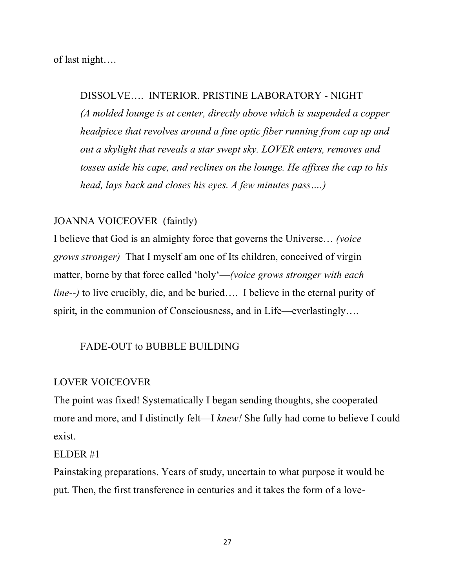of last night….

## DISSOLVE…. INTERIOR. PRISTINE LABORATORY - NIGHT

*(A molded lounge is at center, directly above which is suspended a copper headpiece that revolves around a fine optic fiber running from cap up and out a skylight that reveals a star swept sky. LOVER enters, removes and tosses aside his cape, and reclines on the lounge. He affixes the cap to his head, lays back and closes his eyes. A few minutes pass….)*

#### JOANNA VOICEOVER (faintly)

I believe that God is an almighty force that governs the Universe… *(voice grows stronger)* That I myself am one of Its children, conceived of virgin matter, borne by that force called 'holy'—*(voice grows stronger with each line--)* to live crucibly, die, and be buried…. I believe in the eternal purity of spirit, in the communion of Consciousness, and in Life—everlastingly….

# FADE-OUT to BUBBLE BUILDING

#### LOVER VOICEOVER

The point was fixed! Systematically I began sending thoughts, she cooperated more and more, and I distinctly felt—I *knew!* She fully had come to believe I could exist.

#### ELDER #1

Painstaking preparations. Years of study, uncertain to what purpose it would be put. Then, the first transference in centuries and it takes the form of a love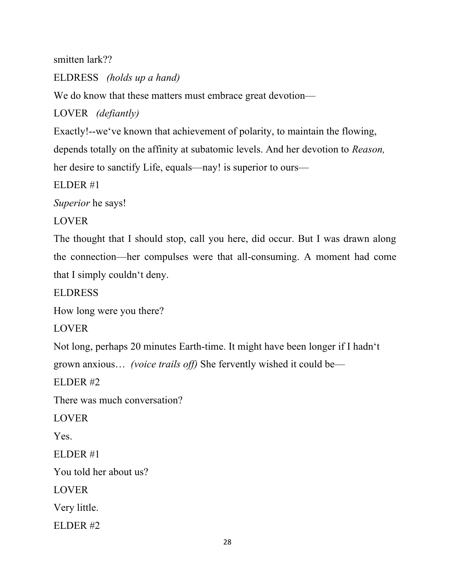smitten lark??

ELDRESS *(holds up a hand)*

We do know that these matters must embrace great devotion—

LOVER *(defiantly)*

Exactly!--we've known that achievement of polarity, to maintain the flowing,

depends totally on the affinity at subatomic levels. And her devotion to *Reason,* 

her desire to sanctify Life, equals—nay! is superior to ours—

ELDER #1

*Superior* he says!

LOVER

The thought that I should stop, call you here, did occur. But I was drawn along the connection—her compulses were that all-consuming. A moment had come that I simply couldn't deny.

ELDRESS

How long were you there?

LOVER

Not long, perhaps 20 minutes Earth-time. It might have been longer if I hadn't

grown anxious… *(voice trails off)* She fervently wished it could be—

ELDER #2

There was much conversation?

LOVER

Yes.

ELDER #1

You told her about us?

LOVER

Very little.

ELDER #2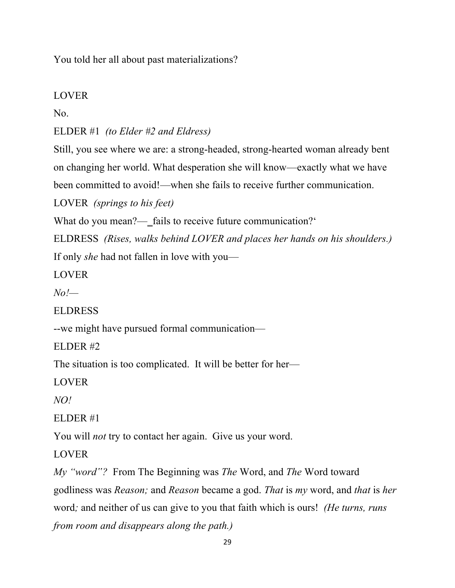You told her all about past materializations?

# LOVER

No.

ELDER #1 *(to Elder #2 and Eldress)*

Still, you see where we are: a strong-headed, strong-hearted woman already bent on changing her world. What desperation she will know—exactly what we have been committed to avoid!—when she fails to receive further communication.

LOVER *(springs to his feet)*

What do you mean?— fails to receive future communication?

ELDRESS *(Rises, walks behind LOVER and places her hands on his shoulders.)* If only *she* had not fallen in love with you—

LOVER

*No!—*

ELDRESS

--we might have pursued formal communication—

ELDER #2

The situation is too complicated. It will be better for her—

LOVER

*NO!*

ELDER #1

You will *not* try to contact her again. Give us your word.

LOVER

*My "word"?* From The Beginning was *The* Word, and *The* Word toward godliness was *Reason;* and *Reason* became a god. *That* is *my* word, and *that* is *her*  word*;* and neither of us can give to you that faith which is ours! *(He turns, runs from room and disappears along the path.)*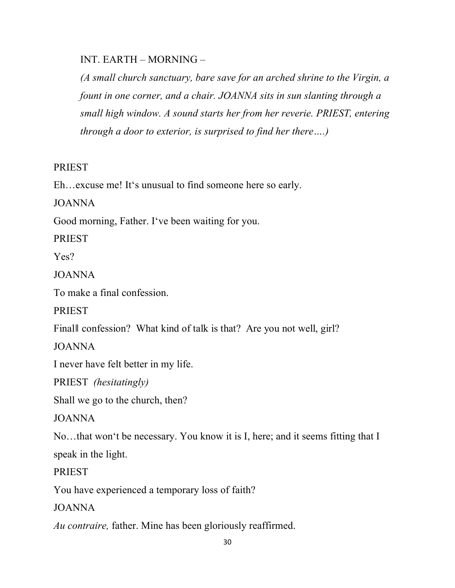INT. EARTH – MORNING –

*(A small church sanctuary, bare save for an arched shrine to the Virgin, a fount in one corner, and a chair. JOANNA sits in sun slanting through a small high window. A sound starts her from her reverie. PRIEST, entering through a door to exterior, is surprised to find her there….)*

# **PRIEST**

Eh…excuse me! It's unusual to find someone here so early.

JOANNA

Good morning, Father. I've been waiting for you.

PRIEST

Yes?

JOANNA

To make a final confession.

PRIEST

Finall confession? What kind of talk is that? Are you not well, girl?

JOANNA

I never have felt better in my life.

PRIEST *(hesitatingly)*

Shall we go to the church, then?

JOANNA

No…that won't be necessary. You know it is I, here; and it seems fitting that I

speak in the light.

PRIEST

You have experienced a temporary loss of faith?

JOANNA

*Au contraire,* father. Mine has been gloriously reaffirmed.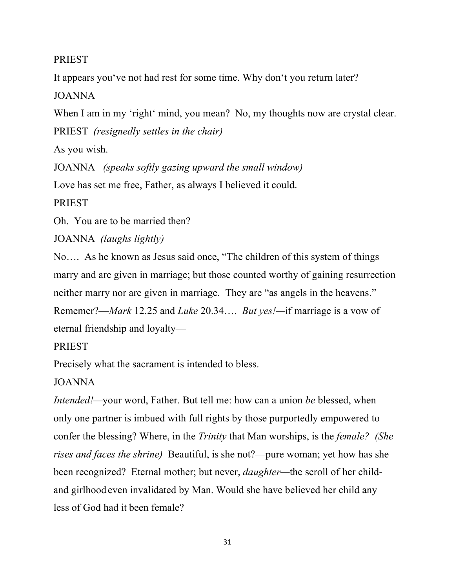### PRIEST

It appears you've not had rest for some time. Why don't you return later?

JOANNA

When I am in my 'right' mind, you mean? No, my thoughts now are crystal clear. PRIEST *(resignedly settles in the chair)*

As you wish.

JOANNA *(speaks softly gazing upward the small window)*

Love has set me free, Father, as always I believed it could.

PRIEST

Oh. You are to be married then?

JOANNA *(laughs lightly)*

No…. As he known as Jesus said once, "The children of this system of things marry and are given in marriage; but those counted worthy of gaining resurrection neither marry nor are given in marriage. They are "as angels in the heavens." Rememer?—*Mark* 12.25 and *Luke* 20.34…. *But yes!—*if marriage is a vow of eternal friendship and loyalty—

PRIEST

Precisely what the sacrament is intended to bless.

JOANNA

*Intended!—*your word, Father. But tell me: how can a union *be* blessed, when only one partner is imbued with full rights by those purportedly empowered to confer the blessing? Where, in the *Trinity* that Man worships, is the *female? (She rises and faces the shrine)* Beautiful, is she not?—pure woman; yet how has she been recognized? Eternal mother; but never, *daughter—*the scroll of her childand girlhood even invalidated by Man. Would she have believed her child any less of God had it been female?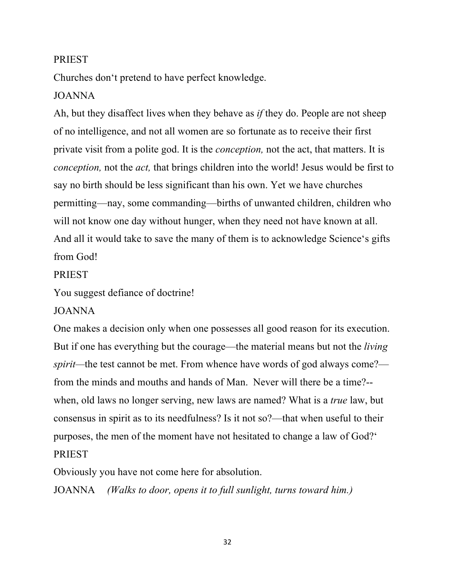### PRIEST

Churches don't pretend to have perfect knowledge.

# JOANNA

Ah, but they disaffect lives when they behave as *if* they do. People are not sheep of no intelligence, and not all women are so fortunate as to receive their first private visit from a polite god. It is the *conception,* not the act, that matters. It is *conception,* not the *act,* that brings children into the world! Jesus would be first to say no birth should be less significant than his own. Yet we have churches permitting—nay, some commanding—births of unwanted children, children who will not know one day without hunger, when they need not have known at all. And all it would take to save the many of them is to acknowledge Science's gifts from God!

### **PRIEST**

You suggest defiance of doctrine!

### JOANNA

One makes a decision only when one possesses all good reason for its execution. But if one has everything but the courage—the material means but not the *living spirit*—the test cannot be met. From whence have words of god always come? from the minds and mouths and hands of Man. Never will there be a time?- when, old laws no longer serving, new laws are named? What is a *true* law, but consensus in spirit as to its needfulness? Is it not so?—that when useful to their purposes, the men of the moment have not hesitated to change a law of God?' PRIEST

Obviously you have not come here for absolution.

JOANNA *(Walks to door, opens it to full sunlight, turns toward him.)*

32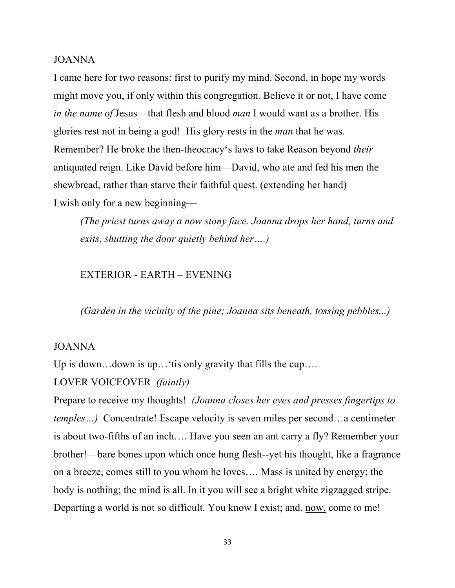#### JOANNA

I came here for two reasons: first to purify my mind. Second, in hope my words might move you, if only within this congregation. Believe it or not, I have come *in the name of* Jesus—that flesh and blood *man* I would want as a brother. His glories rest not in being a god! His glory rests in the *man* that he was. Remember? He broke the then-theocracy's laws to take Reason beyond *their* antiquated reign. Like David before him—David, who ate and fed his men the shewbread, rather than starve their faithful quest. (extending her hand) I wish only for a new beginning—

*(The priest turns away a now stony face. Joanna drops her hand, turns and exits, shutting the door quietly behind her….)*

#### EXTERIOR - EARTH – EVENING

*(Garden in the vicinity of the pine; Joanna sits beneath, tossing pebbles...)*

#### JOANNA

Up is down...down is up...'tis only gravity that fills the cup....

# LOVER VOICEOVER *(faintly)*

Prepare to receive my thoughts! *(Joanna closes her eyes and presses fingertips to temples*...) Concentrate! Escape velocity is seven miles per second...a centimeter is about two-fifths of an inch…. Have you seen an ant carry a fly? Remember your brother!—bare bones upon which once hung flesh--yet his thought, like a fragrance on a breeze, comes still to you whom he loves…*.* Mass is united by energy; the body is nothing; the mind is all. In it you will see a bright white zigzagged stripe. Departing a world is not so difficult. You know I exist; and, now, come to me!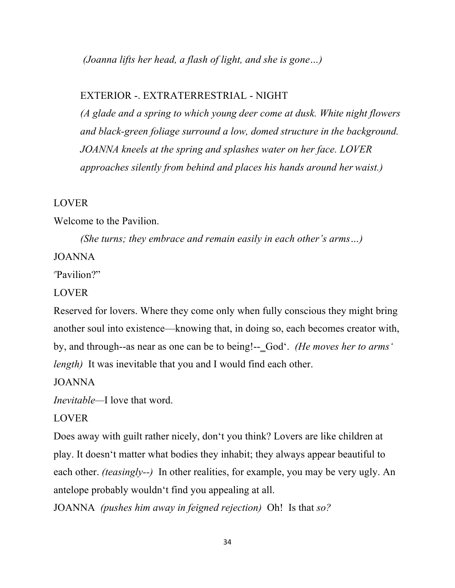*(Joanna lifts her head, a flash of light, and she is gone…)*

#### EXTERIOR -. EXTRATERRESTRIAL - NIGHT

*(A glade and a spring to which young deer come at dusk. White night flowers and black-green foliage surround a low, domed structure in the background. JOANNA kneels at the spring and splashes water on her face. LOVER approaches silently from behind and places his hands around her waist.)*

#### LOVER

Welcome to the Pavilion.

*(She turns; they embrace and remain easily in each other's arms…)*

### JOANNA

'"Pavilion?"

#### LOVER

Reserved for lovers. Where they come only when fully conscious they might bring another soul into existence—knowing that, in doing so, each becomes creator with, by, and through--as near as one can be to being!--‗God'. *(He moves her to arms' length*) It was inevitable that you and I would find each other.

JOANNA

*Inevitable—*I love that word.

#### LOVER

Does away with guilt rather nicely, don't you think? Lovers are like children at play. It doesn't matter what bodies they inhabit; they always appear beautiful to each other. *(teasingly--)* In other realities, for example, you may be very ugly. An antelope probably wouldn't find you appealing at all.

JOANNA *(pushes him away in feigned rejection)* Oh! Is that *so?*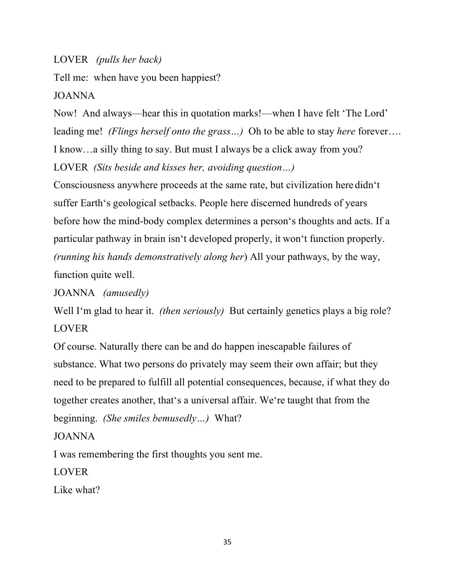LOVER *(pulls her back)*

Tell me: when have you been happiest?

JOANNA

Now! And always—hear this in quotation marks!—when I have felt 'The Lord' leading me! *(Flings herself onto the grass…)* Oh to be able to stay *here* forever…. I know…a silly thing to say. But must I always be a click away from you? LOVER *(Sits beside and kisses her, avoiding question…)*

Consciousness anywhere proceeds at the same rate, but civilization here didn't suffer Earth's geological setbacks. People here discerned hundreds of years before how the mind-body complex determines a person's thoughts and acts. If a particular pathway in brain isn't developed properly, it won't function properly. *(running his hands demonstratively along her*) All your pathways, by the way, function quite well.

JOANNA *(amusedly)*

Well I'm glad to hear it. *(then seriously)* But certainly genetics plays a big role? LOVER

Of course. Naturally there can be and do happen inescapable failures of substance. What two persons do privately may seem their own affair; but they need to be prepared to fulfill all potential consequences, because, if what they do together creates another, that's a universal affair. We're taught that from the beginning. *(She smiles bemusedly…)* What?

# JOANNA

I was remembering the first thoughts you sent me.

LOVER

Like what?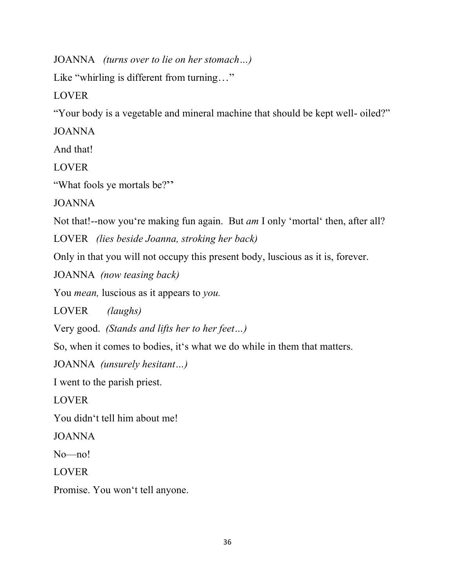JOANNA *(turns over to lie on her stomach…)*

Like "whirling is different from turning..."

LOVER

"Your body is a vegetable and mineral machine that should be kept well- oiled?"

JOANNA

And that!

LOVER

"What fools ye mortals be?"

JOANNA

Not that!--now you're making fun again. But *am* I only 'mortal' then, after all?

LOVER *(lies beside Joanna, stroking her back)*

Only in that you will not occupy this present body, luscious as it is, forever.

JOANNA *(now teasing back)*

You *mean,* luscious as it appears to *you.*

LOVER *(laughs)*

Very good. *(Stands and lifts her to her feet…)*

So, when it comes to bodies, it's what we do while in them that matters.

JOANNA *(unsurely hesitant…)*

I went to the parish priest.

LOVER

You didn't tell him about me!

JOANNA

No—no!

LOVER

Promise. You won't tell anyone.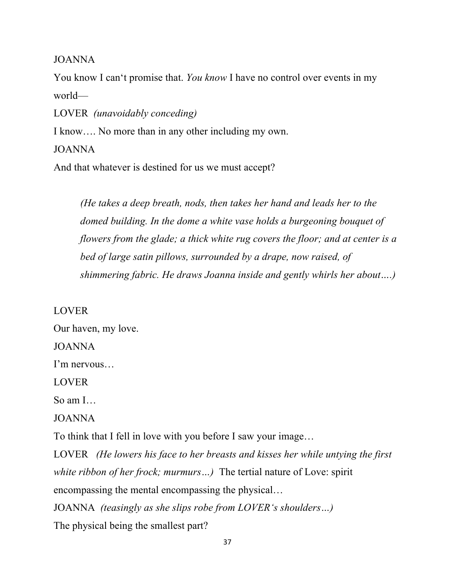JOANNA

You know I can't promise that. *You know* I have no control over events in my world—

LOVER *(unavoidably conceding)*

I know…. No more than in any other including my own.

JOANNA

And that whatever is destined for us we must accept?

*(He takes a deep breath, nods, then takes her hand and leads her to the domed building. In the dome a white vase holds a burgeoning bouquet of flowers from the glade; a thick white rug covers the floor; and at center is a bed of large satin pillows, surrounded by a drape, now raised, of shimmering fabric. He draws Joanna inside and gently whirls her about….)*

LOVER

Our haven, my love.

JOANNA

I'm nervous…

LOVER

So am I…

JOANNA

To think that I fell in love with you before I saw your image…

LOVER *(He lowers his face to her breasts and kisses her while untying the first white ribbon of her frock; murmurs…)* The tertial nature of Love: spirit encompassing the mental encompassing the physical… JOANNA *(teasingly as she slips robe from LOVER's shoulders…)*

The physical being the smallest part?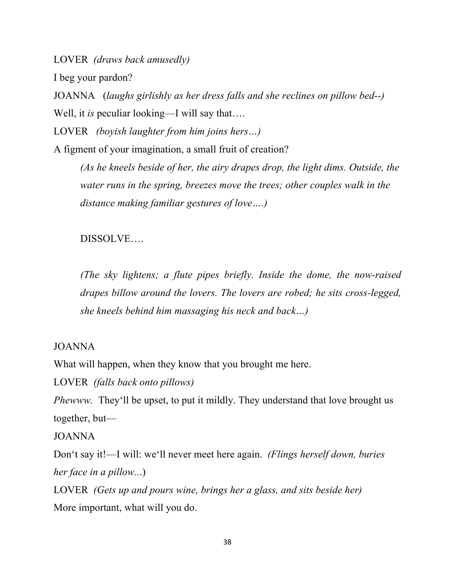LOVER *(draws back amusedly)*

I beg your pardon?

JOANNA (*laughs girlishly as her dress falls and she reclines on pillow bed--)* Well, it *is* peculiar looking—I will say that....

LOVER *(boyish laughter from him joins hers…)*

A figment of your imagination, a small fruit of creation?

*(As he kneels beside of her, the airy drapes drop, the light dims. Outside, the water runs in the spring, breezes move the trees; other couples walk in the distance making familiar gestures of love….)*

DISSOLVE….

*(The sky lightens; a flute pipes briefly. Inside the dome, the now-raised drapes billow around the lovers. The lovers are robed; he sits cross-legged, she kneels behind him massaging his neck and back…)*

### JOANNA

What will happen, when they know that you brought me here.

LOVER *(falls back onto pillows)*

*Phewww.* They'll be upset, to put it mildly. They understand that love brought us together, but—

### JOANNA

Don't say it!—I will: we'll never meet here again. *(Flings herself down, buries her face in a pillow..*.)

LOVER *(Gets up and pours wine, brings her a glass, and sits beside her)* More important, what will you do.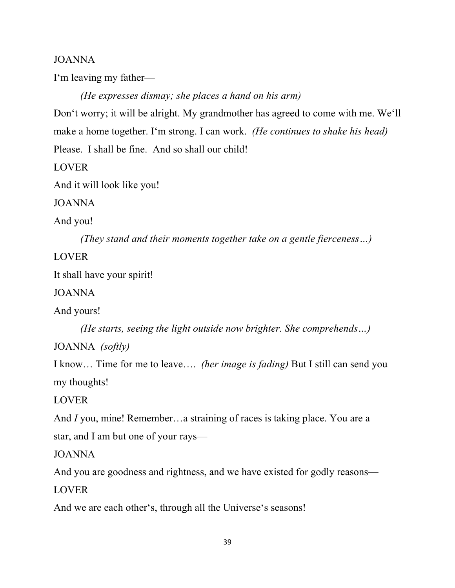### JOANNA

I'm leaving my father—

*(He expresses dismay; she places a hand on his arm)*

Don't worry; it will be alright. My grandmother has agreed to come with me. We'll make a home together. I'm strong. I can work. *(He continues to shake his head)*  Please. I shall be fine. And so shall our child!

LOVER

And it will look like you!

JOANNA

And you!

*(They stand and their moments together take on a gentle fierceness…)*

# LOVER

It shall have your spirit!

JOANNA

And yours!

*(He starts, seeing the light outside now brighter. She comprehends…)*

JOANNA *(softly)*

I know… Time for me to leave…. *(her image is fading)* But I still can send you my thoughts!

LOVER

And *I* you, mine! Remember...a straining of races is taking place. You are a star, and I am but one of your rays—

JOANNA

And you are goodness and rightness, and we have existed for godly reasons—

LOVER

And we are each other's, through all the Universe's seasons!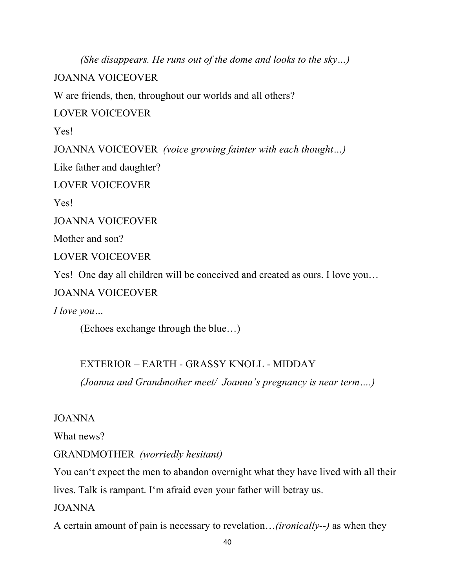*(She disappears. He runs out of the dome and looks to the sky…)*

JOANNA VOICEOVER

W are friends, then, throughout our worlds and all others?

LOVER VOICEOVER

Yes!

JOANNA VOICEOVER *(voice growing fainter with each thought…)*

Like father and daughter?

LOVER VOICEOVER

Yes!

JOANNA VOICEOVER

Mother and son?

LOVER VOICEOVER

Yes! One day all children will be conceived and created as ours. I love you…

JOANNA VOICEOVER

*I love you…*

(Echoes exchange through the blue…)

# EXTERIOR – EARTH - GRASSY KNOLL - MIDDAY

*(Joanna and Grandmother meet/ Joanna's pregnancy is near term….)*

## JOANNA

What news?

GRANDMOTHER *(worriedly hesitant)*

You can't expect the men to abandon overnight what they have lived with all their

lives. Talk is rampant. I'm afraid even your father will betray us.

JOANNA

A certain amount of pain is necessary to revelation…*(ironically--)* as when they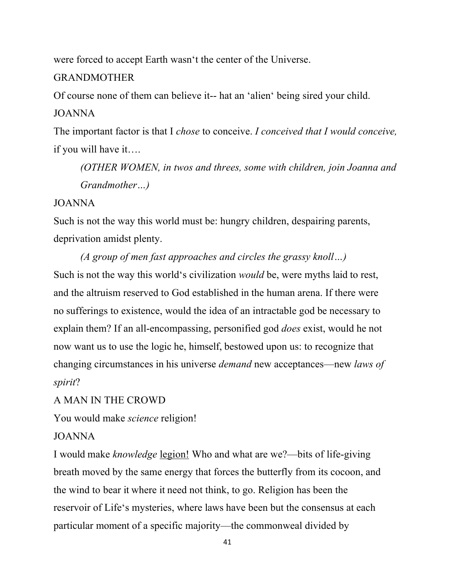were forced to accept Earth wasn't the center of the Universe.

# GRANDMOTHER

Of course none of them can believe it-- hat an 'alien' being sired your child. JOANNA

The important factor is that I *chose* to conceive. *I conceived that I would conceive,*  if you will have it….

*(OTHER WOMEN, in twos and threes, some with children, join Joanna and Grandmother…)*

# JOANNA

Such is not the way this world must be: hungry children, despairing parents, deprivation amidst plenty.

*(A group of men fast approaches and circles the grassy knoll…)* Such is not the way this world's civilization *would* be, were myths laid to rest, and the altruism reserved to God established in the human arena. If there were no sufferings to existence, would the idea of an intractable god be necessary to explain them? If an all-encompassing, personified god *does* exist, would he not now want us to use the logic he, himself, bestowed upon us: to recognize that changing circumstances in his universe *demand* new acceptances—new *laws of spirit*?

A MAN IN THE CROWD

You would make *science* religion!

# JOANNA

I would make *knowledge* legion! Who and what are we?—bits of life-giving breath moved by the same energy that forces the butterfly from its cocoon, and the wind to bear it where it need not think, to go. Religion has been the reservoir of Life's mysteries, where laws have been but the consensus at each particular moment of a specific majority—the commonweal divided by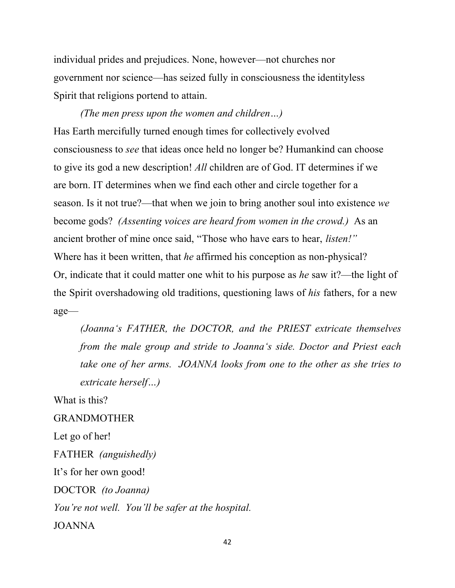individual prides and prejudices. None, however—not churches nor government nor science—has seized fully in consciousness the identityless Spirit that religions portend to attain.

*(The men press upon the women and children…)* Has Earth mercifully turned enough times for collectively evolved consciousness to *see* that ideas once held no longer be? Humankind can choose to give its god a new description! *All* children are of God. IT determines if we are born. IT determines when we find each other and circle together for a season. Is it not true?—that when we join to bring another soul into existence *we*  become gods? *(Assenting voices are heard from women in the crowd.)* As an ancient brother of mine once said, "Those who have ears to hear, *listen!"* Where has it been written, that *he* affirmed his conception as non-physical? Or, indicate that it could matter one whit to his purpose as *he* saw it?—the light of the Spirit overshadowing old traditions, questioning laws of *his* fathers, for a new age—

*(Joanna's FATHER, the DOCTOR, and the PRIEST extricate themselves from the male group and stride to Joanna's side. Doctor and Priest each take one of her arms. JOANNA looks from one to the other as she tries to extricate herself…)*

What is this?

GRANDMOTHER

Let go of her!

FATHER *(anguishedly)*

It's for her own good!

DOCTOR *(to Joanna)*

*You're not well. You'll be safer at the hospital.*

JOANNA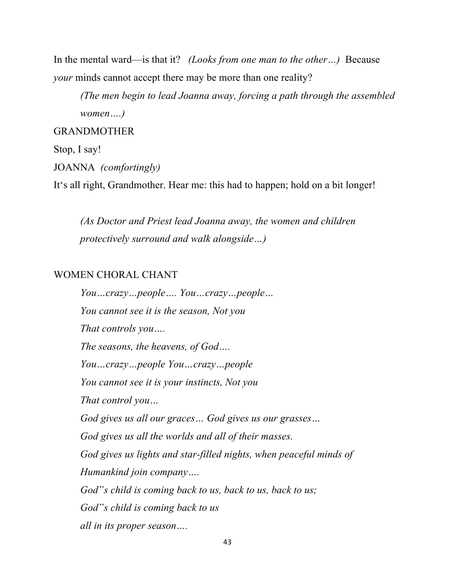In the mental ward—is that it? *(Looks from one man to the other…)* Because *your* minds cannot accept there may be more than one reality?

*(The men begin to lead Joanna away, forcing a path through the assembled women….)*

# GRANDMOTHER

## Stop, I say!

#### JOANNA *(comfortingly)*

It's all right, Grandmother. Hear me: this had to happen; hold on a bit longer!

*(As Doctor and Priest lead Joanna away, the women and children protectively surround and walk alongside…)*

### WOMEN CHORAL CHANT

*You…crazy…people…. You…crazy…people… You cannot see it is the season, Not you That controls you…. The seasons, the heavens, of God…. You…crazy…people You…crazy…people You cannot see it is your instincts, Not you That control you… God gives us all our graces… God gives us our grasses… God gives us all the worlds and all of their masses. God gives us lights and star-filled nights, when peaceful minds of Humankind join company…. God"s child is coming back to us, back to us, back to us; God"s child is coming back to us all in its proper season….*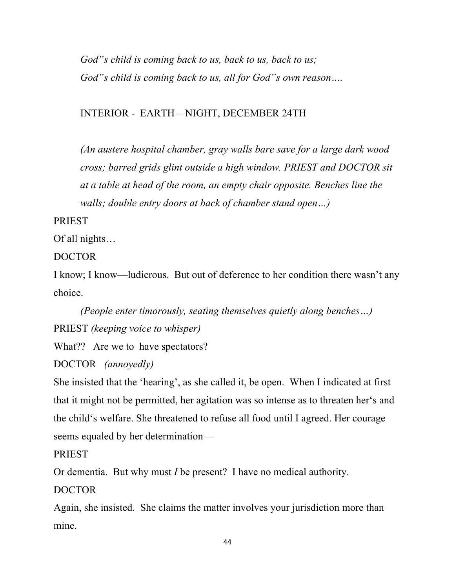*God"s child is coming back to us, back to us, back to us; God"s child is coming back to us, all for God"s own reason….*

# INTERIOR - EARTH – NIGHT, DECEMBER 24TH

*(An austere hospital chamber, gray walls bare save for a large dark wood cross; barred grids glint outside a high window. PRIEST and DOCTOR sit at a table at head of the room, an empty chair opposite. Benches line the walls; double entry doors at back of chamber stand open…)*

PRIEST

Of all nights…

DOCTOR

I know; I know—ludicrous. But out of deference to her condition there wasn't any choice.

*(People enter timorously, seating themselves quietly along benches…)* PRIEST *(keeping voice to whisper)*

What?? Are we to have spectators?

DOCTOR *(annoyedly)*

She insisted that the 'hearing', as she called it, be open. When I indicated at first that it might not be permitted, her agitation was so intense as to threaten her's and the child's welfare. She threatened to refuse all food until I agreed. Her courage seems equaled by her determination—

PRIEST

Or dementia. But why must *I* be present? I have no medical authority.

DOCTOR

Again, she insisted. She claims the matter involves your jurisdiction more than mine.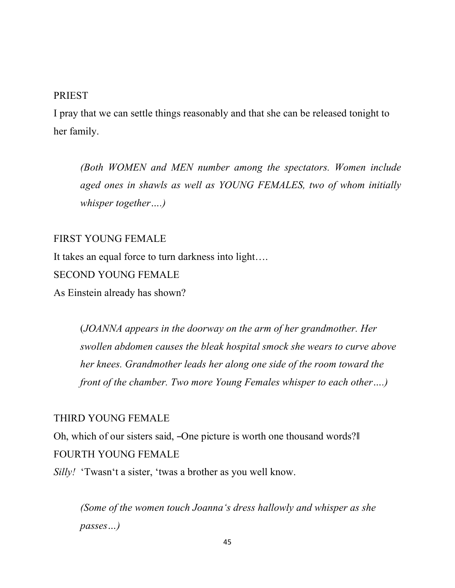#### **PRIEST**

I pray that we can settle things reasonably and that she can be released tonight to her family.

*(Both WOMEN and MEN number among the spectators. Women include aged ones in shawls as well as YOUNG FEMALES, two of whom initially whisper together….)*

### FIRST YOUNG FEMALE

It takes an equal force to turn darkness into light….

## SECOND YOUNG FEMALE

As Einstein already has shown?

(*JOANNA appears in the doorway on the arm of her grandmother. Her swollen abdomen causes the bleak hospital smock she wears to curve above her knees. Grandmother leads her along one side of the room toward the front of the chamber. Two more Young Females whisper to each other….)*

#### THIRD YOUNG FEMALE

Oh, which of our sisters said, –One picture is worth one thousand words? FOURTH YOUNG FEMALE

*Silly!* 'Twasn't a sister, 'twas a brother as you well know.

*(Some of the women touch Joanna's dress hallowly and whisper as she passes…)*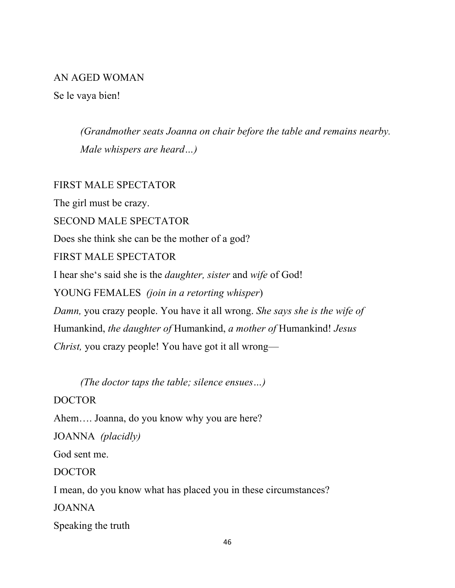### AN AGED WOMAN

Se le vaya bien!

*(Grandmother seats Joanna on chair before the table and remains nearby. Male whispers are heard…)*

# FIRST MALE SPECTATOR

The girl must be crazy. SECOND MALE SPECTATOR Does she think she can be the mother of a god? FIRST MALE SPECTATOR I hear she's said she is the *daughter, sister* and *wife* of God! YOUNG FEMALES *(join in a retorting whisper*) *Damn,* you crazy people. You have it all wrong. *She says she is the wife of*  Humankind, *the daughter of* Humankind, *a mother of* Humankind! *Jesus Christ, you crazy people! You have got it all wrong—* 

*(The doctor taps the table; silence ensues…)*

DOCTOR

Ahem…. Joanna, do you know why you are here?

JOANNA *(placidly)*

God sent me.

DOCTOR

I mean, do you know what has placed you in these circumstances?

JOANNA

Speaking the truth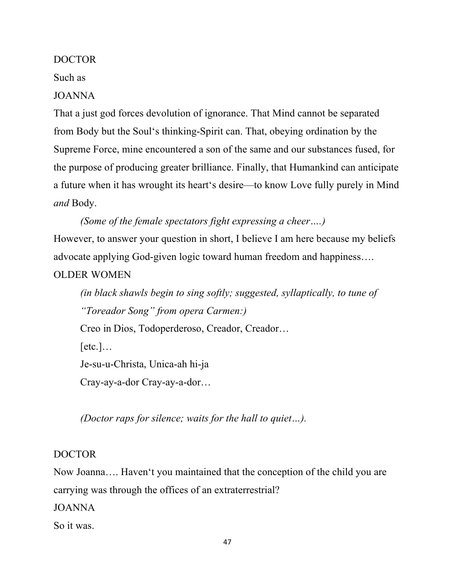### DOCTOR

#### Such as

JOANNA

That a just god forces devolution of ignorance. That Mind cannot be separated from Body but the Soul's thinking-Spirit can. That, obeying ordination by the Supreme Force, mine encountered a son of the same and our substances fused, for the purpose of producing greater brilliance. Finally, that Humankind can anticipate a future when it has wrought its heart's desire—to know Love fully purely in Mind *and* Body.

## *(Some of the female spectators fight expressing a cheer….)*

However, to answer your question in short, I believe I am here because my beliefs advocate applying God-given logic toward human freedom and happiness….

# OLDER WOMEN

*(in black shawls begin to sing softly; suggested, syllaptically, to tune of "Toreador Song" from opera Carmen:)* Creo in Dios, Todoperderoso, Creador, Creador…  $[etc.]$ ... Je-su-u-Christa, Unica-ah hi-ja Cray-ay-a-dor Cray-ay-a-dor…

*(Doctor raps for silence; waits for the hall to quiet…).*

# DOCTOR

Now Joanna…. Haven't you maintained that the conception of the child you are carrying was through the offices of an extraterrestrial?

JOANNA

So it was.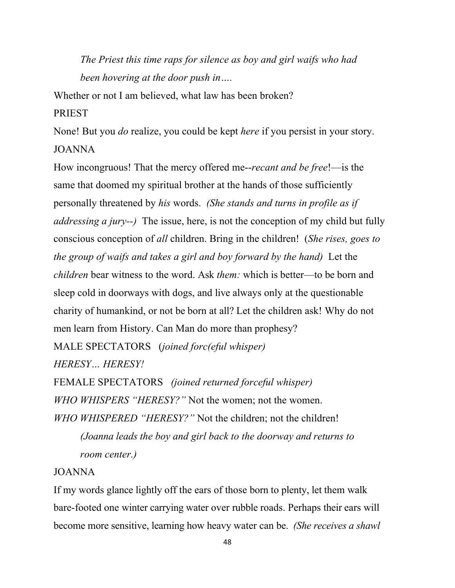*The Priest this time raps for silence as boy and girl waifs who had been hovering at the door push in….*

Whether or not I am believed, what law has been broken?

#### PRIEST

None! But you *do* realize, you could be kept *here* if you persist in your story. JOANNA

How incongruous! That the mercy offered me--*recant and be free*!—is the same that doomed my spiritual brother at the hands of those sufficiently personally threatened by *his* words. *(She stands and turns in profile as if addressing a jury--)* The issue, here, is not the conception of my child but fully conscious conception of *all* children. Bring in the children! (*She rises, goes to the group of waifs and takes a girl and boy forward by the hand)* Let the *children* bear witness to the word. Ask *them:* which is better—to be born and sleep cold in doorways with dogs, and live always only at the questionable charity of humankind, or not be born at all? Let the children ask! Why do not men learn from History. Can Man do more than prophesy?

MALE SPECTATORS (*joined forc(eful whisper) HERESY… HERESY!*

FEMALE SPECTATORS *(joined returned forceful whisper) WHO WHISPERS "HERESY?"* Not the women; not the women. *WHO WHISPERED "HERESY?"* Not the children; not the children! *(Joanna leads the boy and girl back to the doorway and returns to room center.)*

### JOANNA

If my words glance lightly off the ears of those born to plenty, let them walk bare-footed one winter carrying water over rubble roads. Perhaps their ears will become more sensitive, learning how heavy water can be. *(She receives a shawl*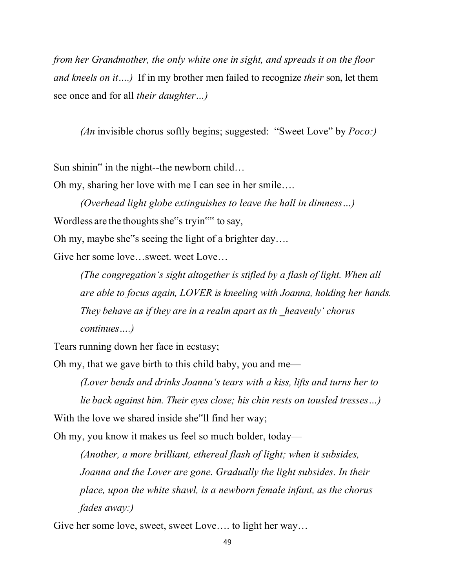*from her Grandmother, the only white one in sight, and spreads it on the floor and kneels on it….)* If in my brother men failed to recognize *their* son, let them see once and for all *their daughter…)*

*(An* invisible chorus softly begins; suggested: "Sweet Love" by *Poco:)*

Sun shinin" in the night--the newborn child…

Oh my, sharing her love with me I can see in her smile….

*(Overhead light globe extinguishes to leave the hall in dimness…)* Wordless are the thoughts she"s tryin"" to say,

Oh my, maybe she"s seeing the light of a brighter day….

Give her some love…sweet. weet Love…

*(The congregation's sight altogether is stifled by a flash of light. When all are able to focus again, LOVER is kneeling with Joanna, holding her hands. They behave* as *if they are in a realm apart as th heavenly chorus continues….)*

Tears running down her face in ecstasy;

Oh my, that we gave birth to this child baby, you and me—

*(Lover bends and drinks Joanna's tears with a kiss, lifts and turns her to lie back against him. Their eyes close; his chin rests on tousled tresses…)* With the love we shared inside she<sup>"</sup>ll find her way;

Oh my, you know it makes us feel so much bolder, today—

*(Another, a more brilliant, ethereal flash of light; when it subsides, Joanna and the Lover are gone. Gradually the light subsides. In their place, upon the white shawl, is a newborn female infant, as the chorus fades away:)*

Give her some love, sweet, sweet Love…. to light her way…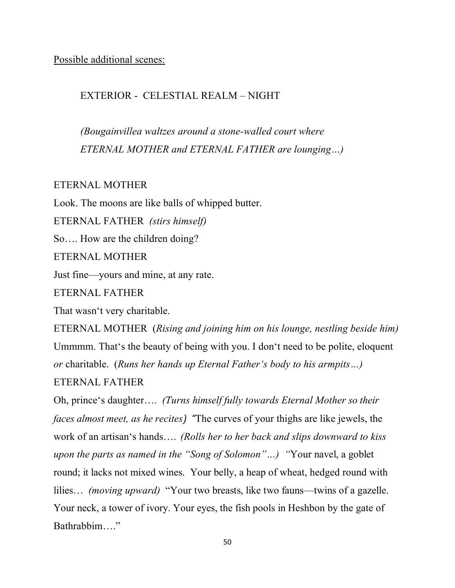Possible additional scenes:

## EXTERIOR - CELESTIAL REALM – NIGHT

*(Bougainvillea waltzes around a stone-walled court where ETERNAL MOTHER and ETERNAL FATHER are lounging…)*

#### ETERNAL MOTHER

Look. The moons are like balls of whipped butter.

ETERNAL FATHER *(stirs himself)*

So…. How are the children doing?

ETERNAL MOTHER

Just fine—yours and mine, at any rate.

ETERNAL FATHER

That wasn't very charitable.

ETERNAL MOTHER (*Rising and joining him on his lounge, nestling beside him)* Ummmm. That's the beauty of being with you. I don't need to be polite, eloquent *or* charitable. (*Runs her hands up Eternal Father's body to his armpits…)*

ETERNAL FATHER

Oh, prince's daughter…. *(Turns himself fully towards Eternal Mother so their faces almost meet, as he recites)* "The curves of your thighs are like jewels, the work of an artisan's hands…. *(Rolls her to her back and slips downward to kiss upon the parts as named in the "Song of Solomon"…) "*Your navel, a goblet round; it lacks not mixed wines. Your belly, a heap of wheat, hedged round with lilies… *(moving upward)* "Your two breasts, like two fauns—twins of a gazelle. Your neck, a tower of ivory. Your eyes, the fish pools in Heshbon by the gate of Bathrabbim…."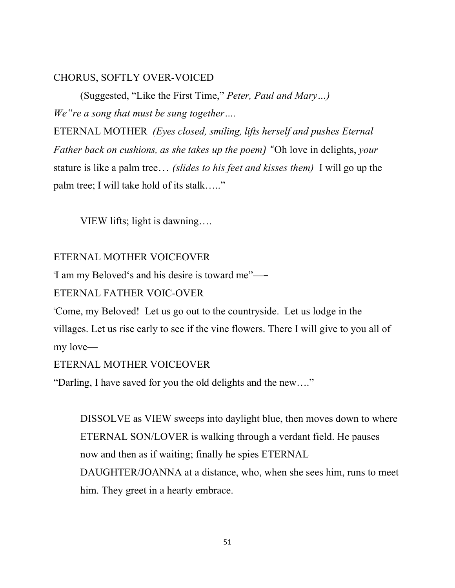### CHORUS, SOFTLY OVER-VOICED

(Suggested, "Like the First Time," *Peter, Paul and Mary…) We"re a song that must be sung together….*

ETERNAL MOTHER *(Eyes closed, smiling, lifts herself and pushes Eternal Father back on cushions, as she takes up the poem)* "Oh love in delights, *your* stature is like a palm tree… *(slides to his feet and kisses them)* I will go up the palm tree; I will take hold of its stalk….."

VIEW lifts; light is dawning….

# ETERNAL MOTHER VOICEOVER

"I am my Beloved's and his desire is toward me"—―

# ETERNAL FATHER VOIC-OVER

"Come, my Beloved! Let us go out to the countryside. Let us lodge in the villages. Let us rise early to see if the vine flowers. There I will give to you all of my love—

# ETERNAL MOTHER VOICEOVER

"Darling, I have saved for you the old delights and the new…."

DISSOLVE as VIEW sweeps into daylight blue, then moves down to where ETERNAL SON/LOVER is walking through a verdant field. He pauses now and then as if waiting; finally he spies ETERNAL

DAUGHTER/JOANNA at a distance, who, when she sees him, runs to meet him. They greet in a hearty embrace.